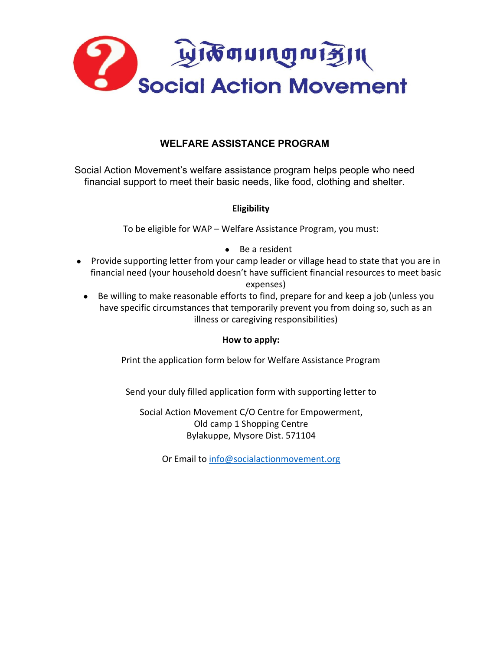

## **WELFARE ASSISTANCE PROGRAM**

Social Action Movement's welfare assistance program helps people who need financial support to meet their basic needs, like food, clothing and shelter.

## **Eligibility**

To be eligible for WAP – Welfare Assistance Program, you must:

- Be a resident
- Provide supporting letter from your camp leader or village head to state that you are in financial need (your household doesn't have sufficient financial resources to meet basic expenses)
	- Be willing to make reasonable efforts to find, prepare for and keep a job (unless you have specific circumstances that temporarily prevent you from doing so, such as an illness or caregiving responsibilities)

## **How to apply:**

Print the application form below for Welfare Assistance Program

Send your duly filled application form with supporting letter to

Social Action Movement C/O Centre for Empowerment, Old camp 1 Shopping Centre Bylakuppe, Mysore Dist. 571104

Or Email to [info@socialactionmovement.org](mailto:info@socialactionmovement.org)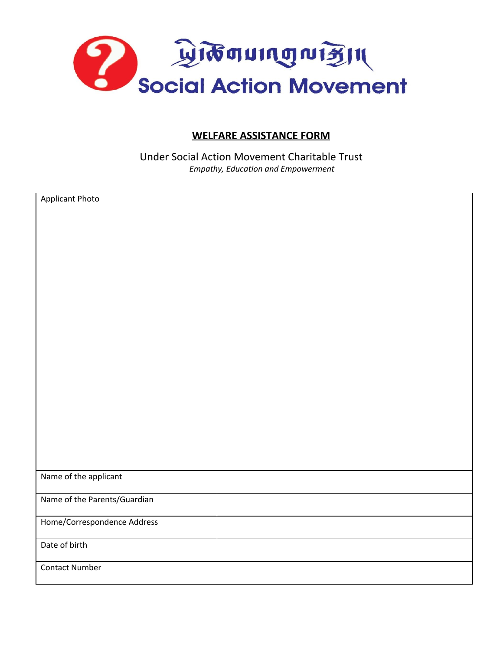

## **WELFARE ASSISTANCE FORM**

Under Social Action Movement Charitable Trust *Empathy, Education and Empowerment*

| <b>Applicant Photo</b>       |  |
|------------------------------|--|
|                              |  |
|                              |  |
|                              |  |
|                              |  |
|                              |  |
|                              |  |
|                              |  |
|                              |  |
|                              |  |
|                              |  |
|                              |  |
|                              |  |
|                              |  |
|                              |  |
|                              |  |
|                              |  |
|                              |  |
|                              |  |
|                              |  |
|                              |  |
|                              |  |
|                              |  |
|                              |  |
|                              |  |
|                              |  |
|                              |  |
|                              |  |
|                              |  |
|                              |  |
|                              |  |
|                              |  |
|                              |  |
|                              |  |
|                              |  |
|                              |  |
|                              |  |
|                              |  |
|                              |  |
| Name of the applicant        |  |
|                              |  |
|                              |  |
| Name of the Parents/Guardian |  |
|                              |  |
|                              |  |
| Home/Correspondence Address  |  |
|                              |  |
|                              |  |
| Date of birth                |  |
|                              |  |
|                              |  |
| <b>Contact Number</b>        |  |
|                              |  |
|                              |  |